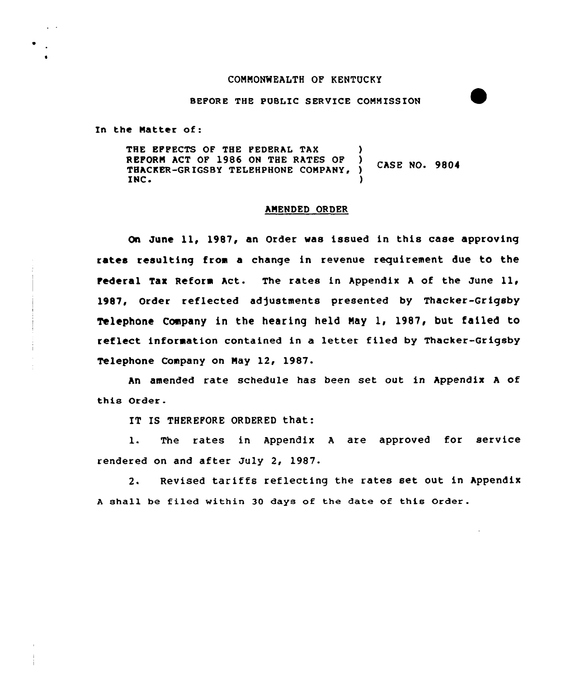## CONNONWEALTH OF KENTUCKY

## BEFORE THE PUBLIC SERVICE CONNISSION

In the Natter of:

THE EFFECTS OF THE FEDERAL TAX (a) REFORM ACT OF 1986 ON THE RATES OF ) CASE NO. 9804<br>THACKER-GRIGSBY TELEHPHONE COMPANY, ) CASE NO. 9804<br>INC. INC.  $\qquad \qquad$ 

#### ANENDED ORDER

On June ll, 1987, an Order was issued in this case approving rates resulting from a change in revenue requirement due to the Federal Tax Reform Act. The rates in Appendix A of the June 11, 1987, Order reflected adjustments presented by Thacker-Grigsby Telephone Company in the hearing held May 1, 1987, but failed to reflect information contained in a letter filed by Thacker-Grigsby Telephone Company on May 12, 1987.

An amended rate schedule has been set out in Appendix A of this Order.

IT IS THEREFORE ORDERED that:

l. The rates in Appendix <sup>A</sup> are approved for service rendered on and after July 2, 1987.

2. Revised tariffs reflecting the rates set out in Appendix <sup>A</sup> shall be filed within 30 days of the date of this Order.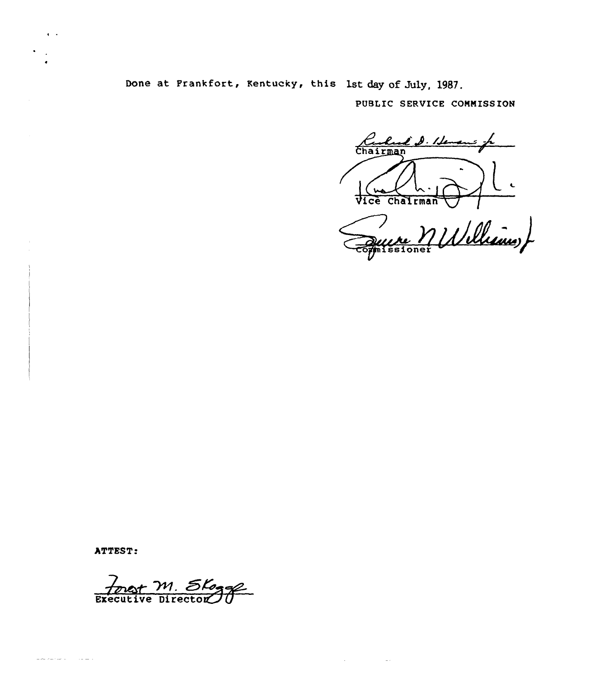Done at Frankfort, Kentucky, this 1st day of July, 1987.

PUBLIC SERVICE COMMISSION

Kulué S. Henen Vice Chalrman

Williams) missioner

 $\Delta \phi$  and  $\phi$  are  $\phi$  . Then  $\Delta \phi$ 

ATTEST:

and the company of the company of the company of the company of the company of the company of the company of the company of the company of the company of the company of the company of the company of the company of the comp

 $\epsilon$  .

 $\ddot{\phantom{a}}$ 

forgot M. Slogge